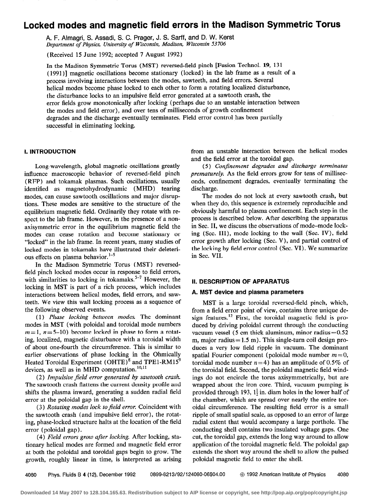# Locked modes and magnetic field errors in the Madison Symmetric Torus

A. F. Almagri, S. Assadi, S. C. Prager, J. S. Sarff, and D. W. Kerst Department of Physics, University of Wisconsin, Madison, Wisconsin 53 706

(Received 15 June 1992; accepted 7 August 1992)

In the Madison Symmetric Torus (MST) reversed-field pinch [Fusion Technol. 19, 131 ( 1991)] magnetic oscillations become stationary (locked) in the lab frame as a result of a process involving interactions between the modes, sawteeth, and field errors. Several helical modes become phase locked to each other to form a rotating localized disturbance, the disturbance locks to an impulsive field error generated at a sawtooth crash, the error fields grow monotonically after locking (perhaps due to an unstable interaction between the modes and field error), and over tens of milliseconds of growth confinement degrades and the discharge eventually terminates. Field error control has been partially successful in eliminating locking.

### I. INTRODUCTION

Long-wavelength, global magnetic oscillations greatly influence macroscopic behavior of reversed-field pinch (RFP) and tokamak plasmas. Such oscillations, usually identified as magnetohydrodynamic (MHD) tearing modes, can cause sawtooth oscillations and major disruptions. These modes are sensitive to the structure of the equilibrium magnetic field. Ordinarily they rotate with respect to the lab frame. However, in the presence of a nonaxisymmetric error in the equilibrium magnetic field the modes can cease rotation and become stationary or "locked" in the lab frame. In recent years, many studies of locked modes in tokamaks have illustrated their deleterious effects on plasma behavior.<sup>1-5</sup>

In the Madison Symmetric Torus (MST) reversedfield pinch locked modes occur in response to field errors, with similarities to locking in tokamaks.<sup>5-7</sup> However, the locking in MST is part of a rich process, which includes interactions between helical modes, field errors, and sawteeth. We view this wall locking process as a sequence of the following observed events.

(1) Phase locking between modes. The dominant modes in MST (with poloidal and toroidal mode numbers  $m=1$ ,  $n=5-10$ ) become locked in phase to form a rotating, localized, magnetic disturbance with a toroidal width of about. one-fourth the circumference. This is similar to earlier observations of phase locking in the Ohmically Heated Toroidal Experiment (OHTE)<sup>8</sup> and TPE1-RM15<sup>9</sup> devices, as well as in MHD computation. $^{10,11}$ 

(2) Impulsive field error generated by sawtooth crash. The sawtooth crash flattens the current density profile and shifts the plasma inward, generating a sudden radial field error at the poloidal gap in the shell.

(3) Rotating modes lock to field error. Coincident with the sawtooth crash (and impulsive field error), the rotating, phase-locked structure halts at the location of the field error (poloidal gap).

(4) Field errors grow after locking. After locking, stationary helical modes are formed and magnetic field error at both the poloidal and toroidal gaps begin to grow. The growth, roughly linear in time, is interpreted as arising from an unstable interaction between the helical modes and the field error at the toroidal gap.

( 5) Conjinement degrades and discharge terminates prematurely. As the field errors grow for tens of milliseconds, confinement degrades, eventually terminating the discharge.

The modes do not lock at every sawtooth crash, but when they do, this sequence is extremely reproducible and obviously harmful to plasma confinement. Each step in the process is described below. After describing the apparatus in Sec. II, we discuss the observations of mode-mode locking (Sec. III), mode locking to the wall (Sec. IV), field error growth after locking (Sec. V), and partial control of the locking by field error control (Sec. VI). We summarize in Sec. VII.

## II. DESCRIPTION OF APPARATUS

### A. MST device and plasma parameters

MST is a large toroidal reversed-field pinch, which, from a field error point of view, contains three unique design features.<sup>12</sup> First, the toroidal magnetic field is produced by driving poloidal current through the conducting vacuum vessel  $(5 \text{ cm thick aluminum, minor radius} = 0.52)$ m, major radius  $= 1.5$  m). This single-turn coil design produces a very low field ripple in vacuum. The dominant spatial Fourier component (poloidal mode number  $m = 0$ , toroidal mode number  $n=4$ ) has an amplitude of 0.5% of the toroidal field. Second, the poloidal magnetic field windings do not encircle the torus axisymmetrically, but are wrapped about the iron core. Third, vacuum pumping is provided through 193,  $1\frac{1}{2}$  in. diam holes in the lower half of the chamber, which are spread over nearly the entire toroidal circumference. The resulting field error is a small ripple of small spatial scale, as opposed to an error of large radial estent that would accompany a large porthole. The conducting shell contains two insulated voltage gaps. One cut, the toroidal gap, extends the long way around to allow application of the toroidal magnetic field. The poloidal gap extends the short way around the shell to allow the pulsed poloidal magnetic field to enter the shell.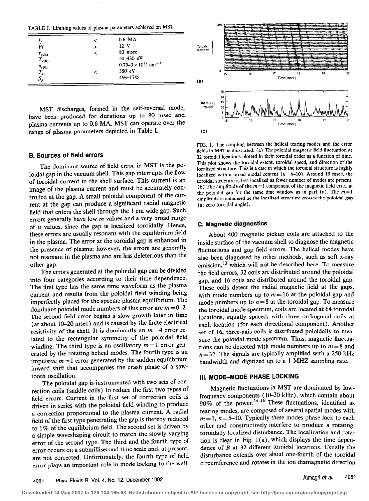TABLE I. Limiting values of plasma parameters achieved on MST.

|                                        | ≺ | 0.6 MA                                     |
|----------------------------------------|---|--------------------------------------------|
| ı<br>Vl                                | ↘ | 12 <sub>Y</sub>                            |
|                                        | ≺ | 80 msec                                    |
| $\frac{\tau_{\text{pulse}}}{T_{e(0)}}$ |   | 50-430 $eV$                                |
| $n_{e(0)}$                             |   | $0.75 - 3 \times 10^{13}$ cm <sup>-3</sup> |
| $T_i$                                  |   | 350 eV                                     |
| $\beta_{\scriptscriptstyle\!}$         |   | $4\% - 17\%$                               |
|                                        |   |                                            |

MST discharges, formed in the self-reversal mode, have been produced for durations up to 80 msec and plasma currents up to 0.6 MA. MST can operate over the range of plasma parameters depicted in Table I.

### 6. Sources of field errors

The dominant source of field error in MST is the poloidal gap in the vacuum shell. This gap interrupts the flow of toroidal current in the shell surface. This current is an image of the plasma current and must be accurately controlled at the gap. A small poloidal component of the current at the gap can produce a significant radial magnetic field that enters the shell through the 1 cm wide gap. Such errors generally have low m values and a very broad range of  $n$  values, since the gap is localized toroidally. Hence, these errors are usually resonant with the equilibrium field in the plasma. The error at the toroidal gap is enhanced in the presence of plasma; however, the errors are generally not resonant in the plasma and are less deleterious than the other gap.

The errors generated at the poloidal gap can be divided into four categories according to their time dependence. The first type has the same time waveform as the plasma current and results from the poloidal field winding being imperfectly placed for the specific plasma equilibrium. The dominant poloidal mode numbers of this error are  $m = 0-2$ . The second field error begins a slow growth later in time (at about IO-20 msec) and is caused by the finite electrical resistivity of the shell. It is dominantly an  $m=4$  error related to the rectangular symmetry of the poloidal field winding. The third type is an oscillatory  $m = 1$  error generated by the rotating helical modes. The fourth type is an impulsive  $m = 1$  error generated by the sudden equilibrium inward shift that accompanies the crash phase of a sawtooth oscillation.

The poloidal gap is instrumented with two sets of correction coils (saddle coils) to reduce the first two types of field errors. Current in the first set of correction coils is driven in series with the poloidal field winding to produce a correction proportional to the plasma current. A radial field of the first type penetrating the gap is thereby reduced to 1% of the equilibrium field. The second set is driven by a simple waveshaping circuit to match the slowly varying error of the second type. The third and the fourth type of error occurs on a submillisecond time scale and, at present, are not corrected. Unfortunately, the fourth type of field error plays an important role in mode locking to the wall.



FIG. 1. The coupling between the helical tearing modes and the error fields in MST is illustrated. (a) The poloidal magnetic field fluctuation at 32 toroidal locations plotted in their toroidal order as a function of time. This plot shows the toroidal extent, toroidal speed, and direction of the localized structure. This is a case in which the toroidal structure is highly localized with a broad modal content  $(n=6-10)$ . Around 19 msec, the toroidal structure is less localized as fewer number of modes are present. (b) The amplitude of the  $m=1$  component of the magnetic field error at the poloidal gap for the same time window as in part (a). The  $m=1$ amplitude is enhanced as the localized structure crosses the poloidal gap (at zero toroidal angle).

### C. Magnetic diagnostics

About 400 magnetic pickup coils are attached to the inside surface of the vacuum shell to diagnose the magnetic fluctuations and gap field errors. The helical modes have also been diagnosed by other methods, such as soft x-ray emission,<sup>13</sup> which will not be described here. To measure the field errors, 32 coils are distributed around the poloidal gap, and 16 coils are distributed around the toroidal gap. These coils detect the radial magnetic field at the gaps, with mode numbers up to  $m = 16$  at the poloidal gap and mode numbers up to  $n = 8$  at the toroidal gap. To measure the toroidal mode spectrum, coils are located at 64 toroidal locations, equally spaced, with three orthogonal coils at each location (for each directional component). Another set of 16, three-axis coils is distributed poloidally to measure the poloidal mode spectrum. Thus, magnetic fluctuations can be detected with mode numbers up to  $m=8$  and  $n=32$ . The signals are typically amplified with a 250 kHz bandwidth and digitized up to a 1 MHZ sampling rate.

## 111. MODE-MODE PHASE LOCKING

Magnetic fluctuations in MST are dominated by low-<br>frequency components (10-30 kHz), which contain about frequency components ( $10-30$  kHz), which contain about  $90\%$  of the power. These fluctuations, identified as tearing modes, are composed of several spatial modes with  $m=1$ ,  $n=5-10$ . Typically these modes phase lock to each other and constructively interfere to produce a rotating, toroidally localized disturbance. The localization and rotation is clear in Fig.  $1(a)$ , which displays the time dependence of  $\tilde{B}$  at 32 different toroidal locations. Usually the disturbance extends over about one-fourth of the toroidal circumference and rotates in the ion diamagnetic direction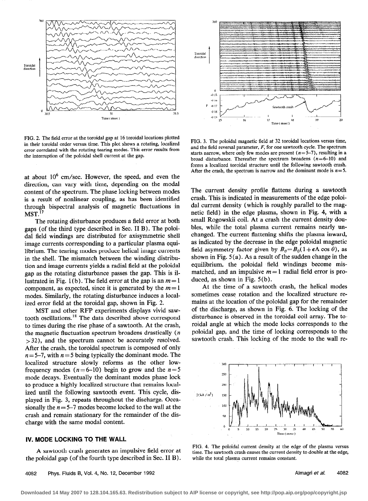

FIG. 2. The field error at the toroidal gap at 16 toroidal locations plotted in their toroidal order versus time. This plot shows a rotating, localized error correlated with the rotating tearing modes. This error results from the interruption of the poloidal shell current at the gap.

at about  $10^6$  cm/sec. However, the speed, and even the direction, can vary with time, depending on the modal content of the spectrum. The phase locking between modes is a result of nonlinear coupling, as has been identified through bispectral analysis of magnetic fluctuations in  $MST.<sup>17</sup>$ 

The rotating disturbance produces a field error at both gaps (of the third type described in Sec. II B). The poloida1 field windings are distributed for axisymmetric shell image currents corresponding to a particular plasma equilibrium. The tearing modes produce helical image currents in the shell. The mismatch between the winding distribution and image currents yields a radial field at the poloidal gap as the rotating disturbance passes the gap. This is illustrated in Fig. 1(b). The field error at the gap is an  $m=1$ component, as expected, since it is generated by the  $m=1$ modes. Similarly, the rotating disturbance induces a localized error field at the toroidal gap, shown in Fig. 2.

MST and other RFP experiments displays vivid sawtooth oscillations.<sup>18</sup> The data described above correspond to times during the rise phase of a sawtooth. At the crash, the magnetic fluctuation spectrum broadens drastically (n >32), and the spectrum cannot be accurately resolved. After the crash, the toroidal spectrum is composed of only  $n = 5-7$ , with  $n = 5$  being typically the dominant mode. The localized structure slowly reforms as the other lowfrequency modes ( $n = 6-10$ ) begin to grow and the  $n = 5$ mode decays. Eventually the dominant modes phase lock to produce a highly localized structure that remains localized until the following sawtooth event. This cycle, displayed in Fig. 3, repeats throughout the discharge. Occasionally the  $n = 5-7$  modes become locked to the wall at the crash and remain stationary for the remainder of the discharge with the same modal content.

### IV. MODE LOCKING TO THE WALL

A sawtooth crash generates an impulsive field error at the poloidal gap (of the fourth type described in Sec. II B).



FIG. 3. The poloidal magnetic field at 32 toroidal locations versus time, and the field reversal parameter,  $F$ , for one sawtooth cycle. The spectrum starts narrow, where only few modes are present  $(n=5-7)$ , resulting in a broad disturbance. Thereafter the spectrum broadens  $(n=6-10)$  and forms a localized toroidal structure until the following sawtooth crash. After the crash, the spectrum is narrow and the dominant mode is  $n=5$ .

The current density profile flattens during a sawtooth crash. This is indicated in measurements of the edge poloida1 current density (which is roughly parallel to the magnetic field) in the edge plasma, shown in Fig. 4, with a small Rogowskii coil. At a crash the current density doubles, while the total plasma current remains nearly unchanged. The current flattening shifts the plasma inward, as indicated by the decrease in the edge poloidal magnetic field asymmetry factor given by  $B_{\theta} = B_0(1+\epsilon\Lambda \cos \theta)$ , as shown in Fig. 5 (a). As a result of the sudden change in the equilibrium, the poloidal field windings become mismatched, and an impulsive  $m=1$  radial field error is produced, as shown in Fig. 5(b).

At the time of a sawtooth crash, the helical modes sometimes cease rotation and the localized structure remains at the location of the poloidal gap for the remainder of the discharge, as shown in Fig. 6. The locking of the disturbance is observed in the toroidal coil array. The toroidal angle at which the mode locks corresponds to the poloidai gap, and the time of locking corresponds to the sawtooth crash. This locking of the mode to the wall re-



FIG. 4. The poloidal current density at the edge of the plasma versus time. The sawtooth crash causes the current density to double at the edge, while the total plasma current remains constant.

Almagri et al. 4082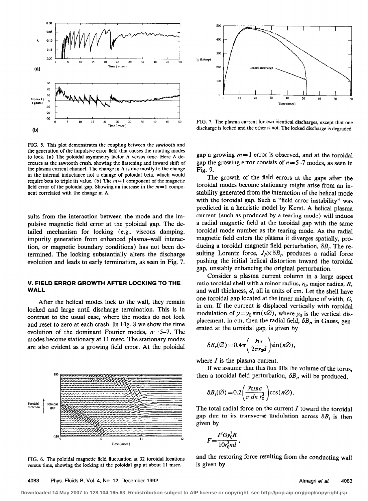

FIG. 5. This plot demonstrates the coupling between the sawtooth and the generation of the impulsive error field that causes the rotating modes to lock. (a) The poloidal asymmetry factor  $\Lambda$  versus time. Here  $\Lambda$  decreases at the sawtooth crash, showing the flattening and inward shift of the plasma current channel. The change in  $\Lambda$  is due mostly to the change in the internal inductance not a change of poloidal beta, which would require beta to triple its value. (b) The  $m=1$  component of the magnetic field error of the poloidal gap. Showing an increase in the  $m=1$  component correlated with the change in  $\Lambda$ .

sults from the interaction between the mode and the impulsive magnetic field error at the poloidal gap. The detailed mechanism for locking (e.g., viscous damping, impurity generation from enhanced plasma-wall interaction, or magnetic boundary conditions) has not been determined. The locking substantially alters the discharge evolution and leads to early termination, as seen in Fig. 7.

### V. FIELD ERROR GROWTH AFTER LOCKING TO THE WALL

After the helical modes lock to the wall, they remain locked and large until discharge termination. This is in contrast to the usual case, where the modes do not lock and reset to zero at each crash. In Fig. 8 we show the time evolution of the dominant Fourier modes,  $n=5-7$ . The modes become stationary at 11 msec. The stationary modes are also evident as a growing field error. At the poloidal



FIG. 6. The poloidal magnetic field fluctuation at 32 toroidal locations versus time, showing the locking at the poloidal gap at about 11 msec.



FIG. 7. The plasma current for two identical discharges, except that one discharge is locked and the other is not. The locked discharge is degraded.

gap a growing  $m = 1$  error is observed, and at the toroidal gap the growing error consists of  $n = 5-7$  modes, as seen in Fig. 9.

The growth of the field errors at the gaps after the toroidal modes become stationary might arise from an instability generated from the interaction of the helical mode with the toroidal gap. Such a "field error instability" was predicted in a heuristic model by Kerst. A helical plasma current (such as produced by a tearing mode) will induce a radial magnetic field at the toroidal gap with the same toroidal mode number as the tearing mode. As the radial magnetic field enters the plasma it diverges spatially, producing a toroidal magnetic field perturbation,  $\delta B_r$ . The resulting Lorentz force,  $J_p \times \delta B_p$  produces a radial force pushing the initial helical distortion toward the toroidal gap, unstably enhancing the original perturbation.

Consider a plasma current column in a large aspect ratio toroidal shell with a minor radius,  $r_0$ , major radius, R, and wall thickness,  $d$ , all in units of cm. Let the shell have one toroidal gap located at the inner midplane of width, G, in cm. If the current is displaced vertically with toroidal modulation of  $y=y_0 \sin(n\varnothing)$ , where  $y_0$  is the vertical displacement, in cm, then the radial field,  $\delta B<sub>r</sub>$  in Gauss, generated at the toroidal gap, is given by

$$
\delta B_r(\varnothing) = 0.4\pi \left( \frac{y_{0I}}{2\pi r_0 d} \right) \sin(n\varnothing),
$$

where  $I$  is the plasma current.

If we assume that this flux fills the volume of the torus, then a toroidal field perturbation,  $\delta B_p$ , will be produced,

$$
\delta B_t(\varnothing) = 0.2 \left( \frac{y_{0IRG}}{\pi \, dn \, r_0^3} \right) \cos(n\varnothing).
$$

The total radial force on the current  $I$  toward the toroidal gap due to its transverse undulation across  $\delta B_t$  is then given by

$$
F=\frac{I^2Gy_0^2R}{10r_0^3nd},
$$

and the restoring force resulting from the conducting wall is given by

**Downloaded 14 May 2007 to 128.104.165.63. Redistribution subject to AIP license or copyright, see http://pop.aip.org/pop/copyright.jsp**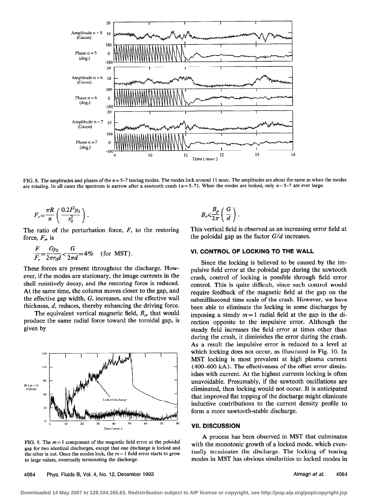

FIG. 8. The amplitudes and phases of the  $n=5-7$  tearing modes. The modes lock around 11 msec. The amplitudes are about the same as when the modes are rotating. In all cases the spectrum is narrow after a sawtooth crash ( $n=5-7$ ). When the modes are locked, only  $n=5-7$  are ever large.

$$
F_r = \frac{\pi R}{n} \left( \frac{0.2 I^2 y_0}{r_0^2} \right).
$$

The ratio of the perturbation force, F, to the restoring force,  $F<sub>n</sub>$  is

$$
\frac{F}{F_r} = \frac{Gy_0}{2\pi r_0 d} < \frac{G}{2\pi d} = 4\% \quad \text{(for MST)}.
$$

These forces are present throughout the discharge. How ever, if the modes are stationary, the image currents in the shell resistively decay, and the restoring force is reduced. At the same time, the column moves closer to the gap, and the effective gap width, G, increases, and the effective wall thickness, d, reduces, thereby enhancing the driving force.

The equivalent vertical magnetic field,  $B_{\nu}$ , that would produce the same radial force toward the toroidal gap, is given by



FIG. 9. The  $m=1$  component of the magnetic field error at the poloidal gap for two identical discharges, except that one discharge is locked and the other is not. Once the modes lock, the  $m=1$  field error starts to grow to large values, eventually terminating the discharge.

 $B_v \leqslant \frac{B_p}{2\pi} \left( \frac{G}{d} \right)$ .

This vertical field is observed as an increasing error field at the poloidal gap as the factor  $G/d$  increases.

### VI. CONTROL OF LOCKING TO THE WALL

Since the locking is believed to be caused by the impulsive field error at the poloidal gap during the sawtooth crash, control of locking is possible through field error control. This is quite difficult, since such control would require feedback of the magnetic field at the gap on the submillisecond time scale of the crash. However, we have been able to eliminate the locking in some discharges by imposing a steady  $m=1$  radial field at the gap in the direction opposite to the impulsive error. Although the steady field increases the field error at times other than during the crash, it diminishes the error during the crash. As a result the impulsive error is reduced to a level at which locking does not occur, as illustrated in Fig. 10. In MST locking is most prevalent at high plasma current (400-600 kA). The effectiveness of the offset error diminishes with current. At the highest currents locking is often unavoidable. Presumably, if the sawtooth oscillations are eliminated, then locking would not occur. It is anticipated that improved flat topping of the discharge might eliminate inductive contributions to the current density profile to form a more sawtooth-stable discharge.

### VII. DISCUSSION

A process has been observed in MST that culminates with the monotonic growth of a locked mode, which eventually terminates the discharge. The locking of tearing modes in MST has obvious similarities to locked modes in

4084 Phys. Fluids B, Vol. 4, No. 12, December 1992